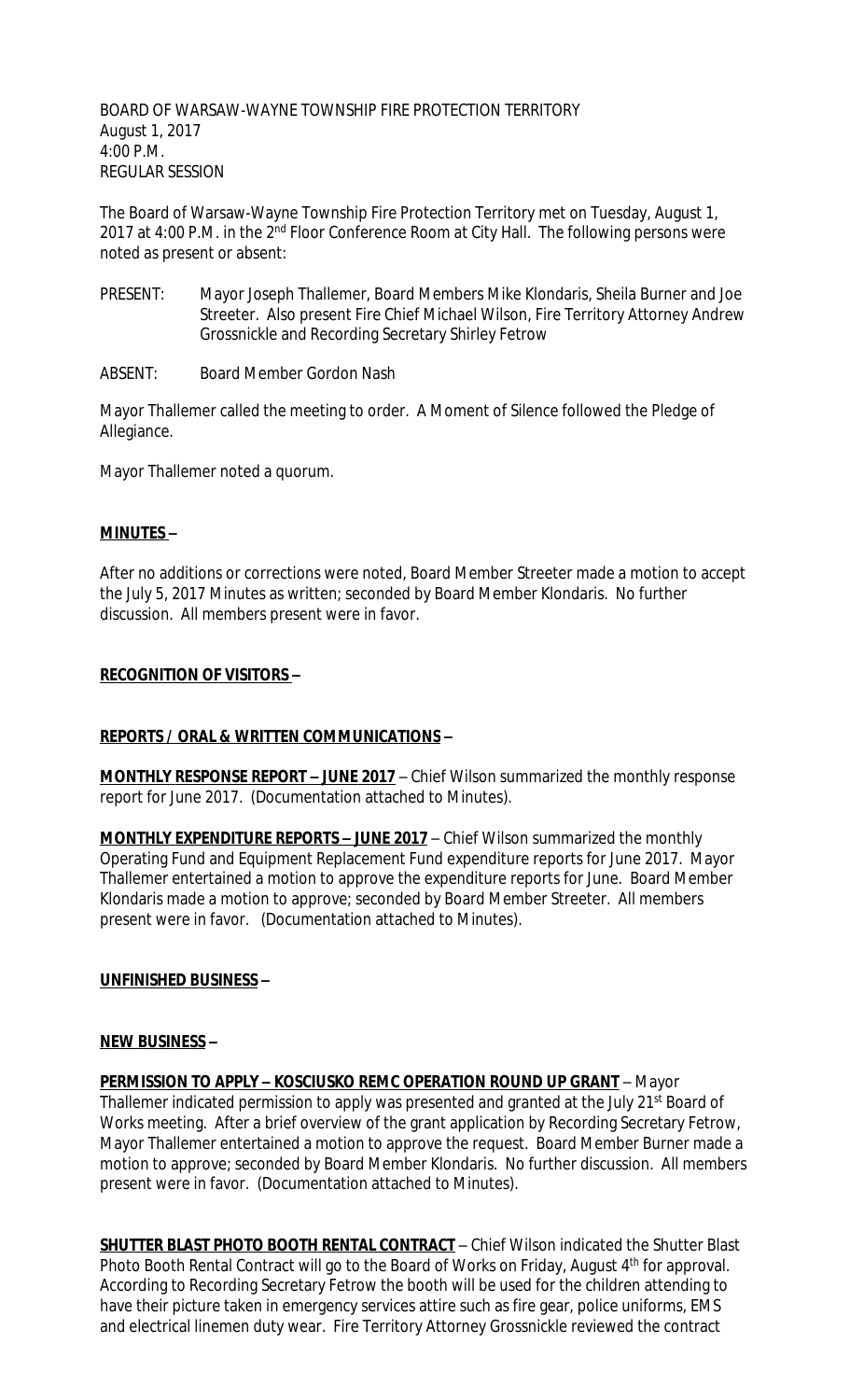BOARD OF WARSAW-WAYNE TOWNSHIP FIRE PROTECTION TERRITORY August 1, 2017 4:00 P.M. REGULAR SESSION

The Board of Warsaw-Wayne Township Fire Protection Territory met on Tuesday, August 1, 2017 at 4:00 P.M. in the 2<sup>nd</sup> Floor Conference Room at City Hall. The following persons were noted as present or absent:

- PRESENT: Mayor Joseph Thallemer, Board Members Mike Klondaris, Sheila Burner and Joe Streeter. Also present Fire Chief Michael Wilson, Fire Territory Attorney Andrew Grossnickle and Recording Secretary Shirley Fetrow
- ABSENT: Board Member Gordon Nash

Mayor Thallemer called the meeting to order. A Moment of Silence followed the Pledge of Allegiance.

Mayor Thallemer noted a quorum.

#### **MINUTES –**

After no additions or corrections were noted, Board Member Streeter made a motion to accept the July 5, 2017 Minutes as written; seconded by Board Member Klondaris. No further discussion. All members present were in favor.

#### **RECOGNITION OF VISITORS –**

### **REPORTS / ORAL & WRITTEN COMMUNICATIONS –**

**MONTHLY RESPONSE REPORT – JUNE 2017** – Chief Wilson summarized the monthly response report for June 2017. (Documentation attached to Minutes).

**MONTHLY EXPENDITURE REPORTS – JUNE 2017** – Chief Wilson summarized the monthly Operating Fund and Equipment Replacement Fund expenditure reports for June 2017. Mayor Thallemer entertained a motion to approve the expenditure reports for June. Board Member Klondaris made a motion to approve; seconded by Board Member Streeter. All members present were in favor. (Documentation attached to Minutes).

#### **UNFINISHED BUSINESS –**

#### **NEW BUSINESS –**

**PERMISSION TO APPLY - KOSCIUSKO REMC OPERATION ROUND UP GRANT** - Mayor Thallemer indicated permission to apply was presented and granted at the July 21<sup>st</sup> Board of Works meeting. After a brief overview of the grant application by Recording Secretary Fetrow, Mayor Thallemer entertained a motion to approve the request. Board Member Burner made a motion to approve; seconded by Board Member Klondaris. No further discussion. All members present were in favor. (Documentation attached to Minutes).

**SHUTTER BLAST PHOTO BOOTH RENTAL CONTRACT** – Chief Wilson indicated the Shutter Blast Photo Booth Rental Contract will go to the Board of Works on Friday, August 4<sup>th</sup> for approval. According to Recording Secretary Fetrow the booth will be used for the children attending to have their picture taken in emergency services attire such as fire gear, police uniforms, EMS and electrical linemen duty wear. Fire Territory Attorney Grossnickle reviewed the contract